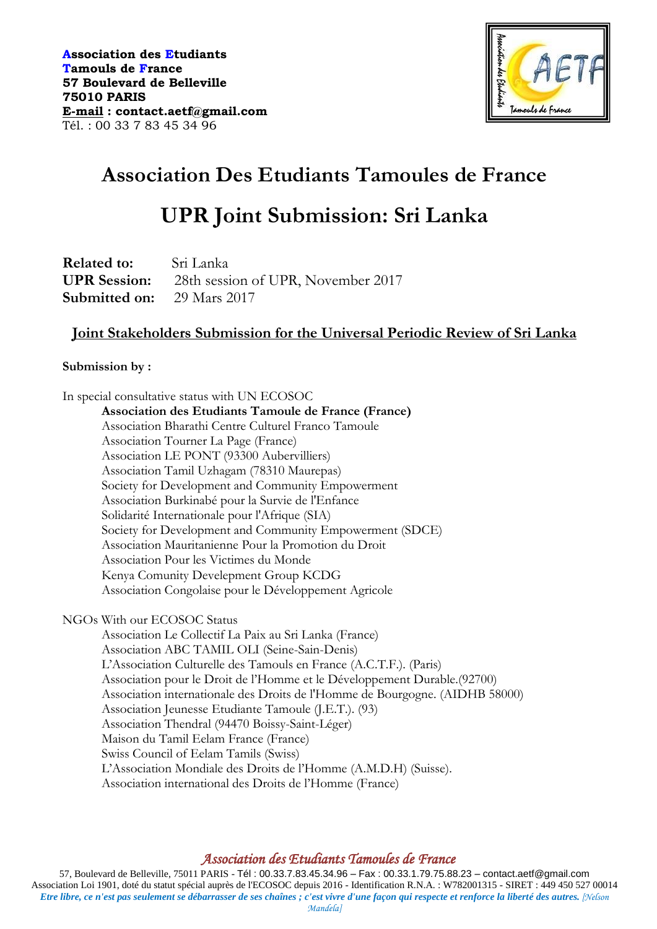

# **Association Des Etudiants Tamoules de France**

# **UPR Joint Submission: Sri Lanka**

**Related to:** Sri Lanka **UPR Session:** 28th session of UPR, November 2017 **Submitted on:** 29 Mars 2017

# **Joint Stakeholders Submission for the Universal Periodic Review of Sri Lanka**

#### **Submission by :**

In special consultative status with UN ECOSOC

**Association des Etudiants Tamoule de France (France)** Association Bharathi Centre Culturel Franco Tamoule Association Tourner La Page (France) Association LE PONT (93300 Aubervilliers) Association Tamil Uzhagam (78310 Maurepas) Society for Development and Community Empowerment Association Burkinabé pour la Survie de l'Enfance Solidarité Internationale pour l'Afrique (SIA) Society for Development and Community Empowerment (SDCE) Association Mauritanienne Pour la Promotion du Droit Association Pour les Victimes du Monde Kenya Comunity Develepment Group KCDG Association Congolaise pour le Développement Agricole

NGOs With our ECOSOC Status

Association Le Collectif La Paix au Sri Lanka (France) Association ABC TAMIL OLI (Seine-Sain-Denis) L'Association Culturelle des Tamouls en France (A.C.T.F.). (Paris) Association pour le Droit de l'Homme et le Développement Durable.(92700) Association internationale des Droits de l'Homme de Bourgogne. (AIDHB 58000) Association Jeunesse Etudiante Tamoule (J.E.T.). (93) Association Thendral (94470 Boissy-Saint-Léger) Maison du Tamil Eelam France (France) Swiss Council of Eelam Tamils (Swiss) L'Association Mondiale des Droits de l'Homme (A.M.D.H) (Suisse). Association international des Droits de l'Homme (France)

# *Association des Etudiants Tamoules de France*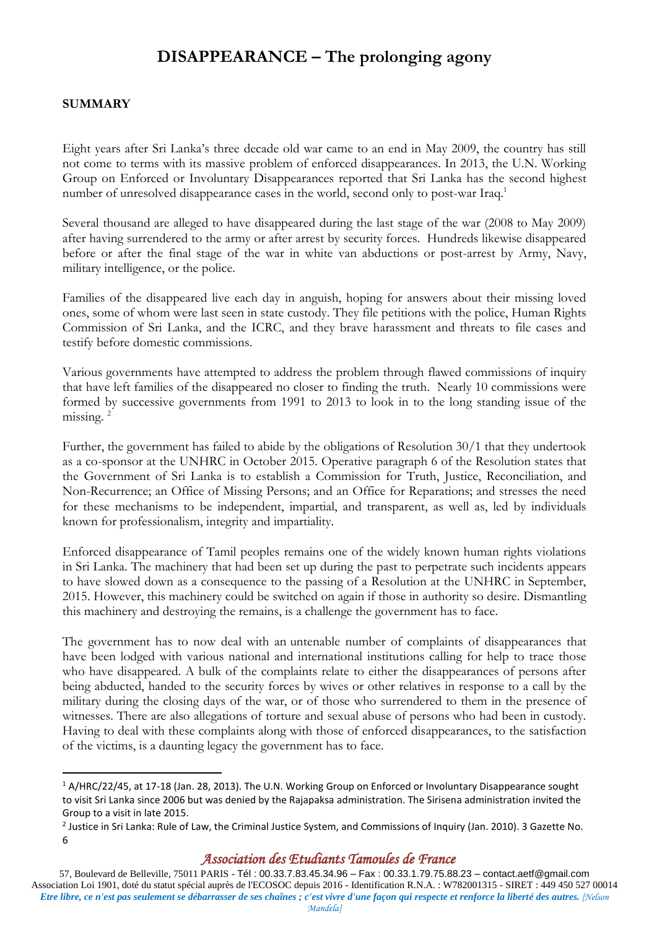# **DISAPPEARANCE – The prolonging agony**

#### **SUMMARY**

1

Eight years after Sri Lanka's three decade old war came to an end in May 2009, the country has still not come to terms with its massive problem of enforced disappearances. In 2013, the U.N. Working Group on Enforced or Involuntary Disappearances reported that Sri Lanka has the second highest number of unresolved disappearance cases in the world, second only to post-war Iraq.<sup>1</sup>

Several thousand are alleged to have disappeared during the last stage of the war (2008 to May 2009) after having surrendered to the army or after arrest by security forces. Hundreds likewise disappeared before or after the final stage of the war in white van abductions or post-arrest by Army, Navy, military intelligence, or the police.

Families of the disappeared live each day in anguish, hoping for answers about their missing loved ones, some of whom were last seen in state custody. They file petitions with the police, Human Rights Commission of Sri Lanka, and the ICRC, and they brave harassment and threats to file cases and testify before domestic commissions.

Various governments have attempted to address the problem through flawed commissions of inquiry that have left families of the disappeared no closer to finding the truth. Nearly 10 commissions were formed by successive governments from 1991 to 2013 to look in to the long standing issue of the missing.<sup>2</sup>

Further, the government has failed to abide by the obligations of Resolution 30/1 that they undertook as a co-sponsor at the UNHRC in October 2015. Operative paragraph 6 of the Resolution states that the Government of Sri Lanka is to establish a Commission for Truth, Justice, Reconciliation, and Non-Recurrence; an Office of Missing Persons; and an Office for Reparations; and stresses the need for these mechanisms to be independent, impartial, and transparent, as well as, led by individuals known for professionalism, integrity and impartiality.

Enforced disappearance of Tamil peoples remains one of the widely known human rights violations in Sri Lanka. The machinery that had been set up during the past to perpetrate such incidents appears to have slowed down as a consequence to the passing of a Resolution at the UNHRC in September, 2015. However, this machinery could be switched on again if those in authority so desire. Dismantling this machinery and destroying the remains, is a challenge the government has to face.

The government has to now deal with an untenable number of complaints of disappearances that have been lodged with various national and international institutions calling for help to trace those who have disappeared. A bulk of the complaints relate to either the disappearances of persons after being abducted, handed to the security forces by wives or other relatives in response to a call by the military during the closing days of the war, or of those who surrendered to them in the presence of witnesses. There are also allegations of torture and sexual abuse of persons who had been in custody. Having to deal with these complaints along with those of enforced disappearances, to the satisfaction of the victims, is a daunting legacy the government has to face.

#### *Association des Etudiants Tamoules de France*

<sup>1</sup> A/HRC/22/45, at 17-18 (Jan. 28, 2013). The U.N. Working Group on Enforced or Involuntary Disappearance sought to visit Sri Lanka since 2006 but was denied by the Rajapaksa administration. The Sirisena administration invited the Group to a visit in late 2015.

<sup>&</sup>lt;sup>2</sup> Justice in Sri Lanka: Rule of Law, the Criminal Justice System, and Commissions of Inquiry (Jan. 2010). 3 Gazette No. 6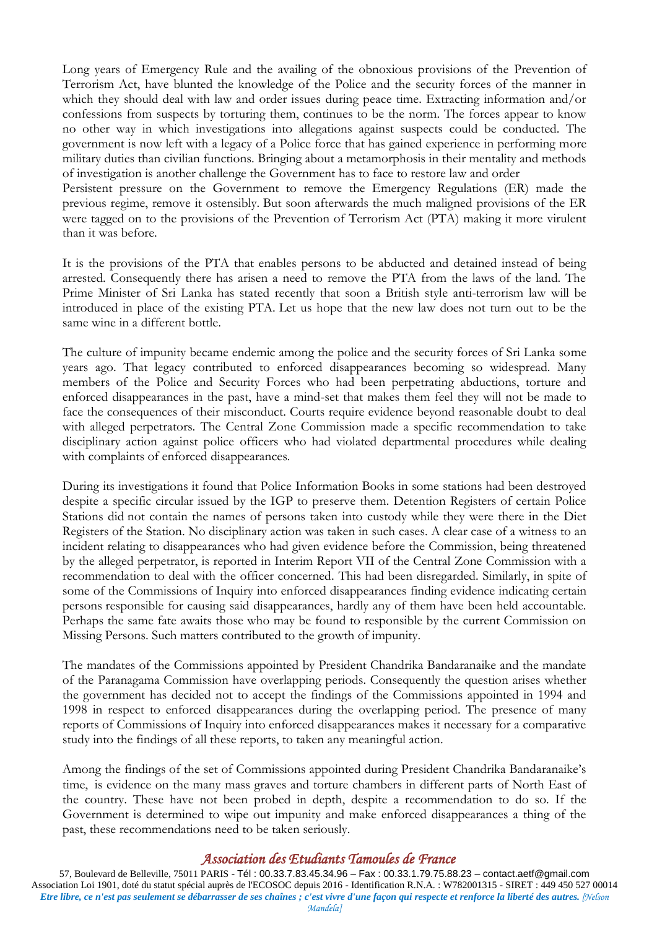Long years of Emergency Rule and the availing of the obnoxious provisions of the [Prevention of](https://en.wikipedia.org/wiki/Prevention_of_Terrorism_Act_%28Sri_Lanka%29)  [Terrorism Act,](https://en.wikipedia.org/wiki/Prevention_of_Terrorism_Act_%28Sri_Lanka%29) have blunted the knowledge of the Police and the security forces of the manner in which they should deal with law and order issues during peace time. Extracting information and/or confessions from suspects by torturing them, continues to be the norm. The forces appear to know no other way in which investigations into allegations against suspects could be conducted. The government is now left with a legacy of a Police force that has gained experience in performing more military duties than civilian functions. Bringing about a metamorphosis in their mentality and methods of investigation is another challenge the Government has to face to restore law and order

Persistent pressure on the Government to remove the Emergency Regulations (ER) made the previous regime, remove it ostensibly. But soon afterwards the much maligned provisions of the ER were tagged on to the provisions of the Prevention of Terrorism Act (PTA) making it more virulent than it was before.

It is the provisions of the PTA that enables persons to be abducted and detained instead of being arrested. Consequently there has arisen a need to remove the PTA from the laws of the land. The Prime Minister of Sri Lanka has stated recently that soon a British style anti-terrorism law will be introduced in place of the existing PTA. Let us hope that the new law does not turn out to be the same wine in a different bottle.

The culture of impunity became endemic among the police and the security forces of Sri Lanka some years ago. That legacy contributed to enforced disappearances becoming so widespread. Many members of the Police and Security Forces who had been perpetrating abductions, torture and enforced disappearances in the past, have a mind-set that makes them feel they will not be made to face the consequences of their misconduct. Courts require evidence beyond reasonable doubt to deal with alleged perpetrators. The Central Zone Commission made a specific recommendation to take disciplinary action against police officers who had violated departmental procedures while dealing with complaints of enforced disappearances*.*

During its investigations it found that Police Information Books in some stations had been destroyed despite a specific circular issued by the IGP to preserve them. Detention Registers of certain Police Stations did not contain the names of persons taken into custody while they were there in the Diet Registers of the Station. No disciplinary action was taken in such cases. A clear case of a witness to an incident relating to disappearances who had given evidence before the Commission, being threatened by the alleged perpetrator, is reported in Interim Report VII of the Central Zone Commission with a recommendation to deal with the officer concerned. This had been disregarded. Similarly, in spite of some of the Commissions of Inquiry into enforced disappearances finding evidence indicating certain persons responsible for causing said disappearances, hardly any of them have been held accountable. Perhaps the same fate awaits those who may be found to responsible by the current Commission on Missing Persons. Such matters contributed to the growth of impunity.

The mandates of the Commissions appointed by President Chandrika Bandaranaike and the mandate of the [Paranagama Commission](http://www.pcicmp.lk/) have overlapping periods. Consequently the question arises whether the government has decided not to accept the findings of the Commissions appointed in 1994 and 1998 in respect to enforced disappearances during the overlapping period. The presence of many reports of Commissions of Inquiry into enforced disappearances makes it necessary for a comparative study into the findings of all these reports, to taken any meaningful action.

Among the findings of the set of Commissions appointed during President Chandrika Bandaranaike's time, is evidence on the many mass graves and torture chambers in different parts of North East of the country. These have not been probed in depth, despite a recommendation to do so. If the Government is determined to wipe out impunity and make enforced disappearances a thing of the past, these recommendations need to be taken seriously.

# *Association des Etudiants Tamoules de France*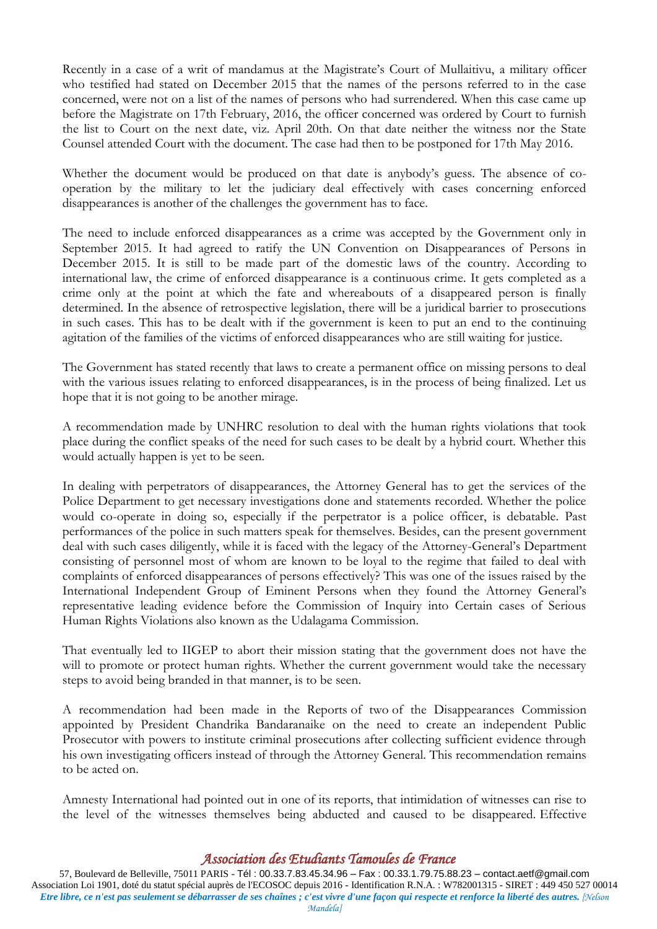Recently in a case of a writ of mandamus at the Magistrate's Court of Mullaitivu, a military officer who testified had stated on December 2015 that the names of the persons referred to in the case concerned, were not on a list of the names of persons who had surrendered. When this case came up before the Magistrate on 17th February, 2016, the officer concerned was ordered by Court to furnish the list to Court on the next date, viz. April 20th. On that date neither the witness nor the State Counsel attended Court with the document. The case had then to be postponed for 17th May 2016.

Whether the document would be produced on that date is anybody's guess. The absence of cooperation by the military to let the judiciary deal effectively with cases concerning enforced disappearances is another of the challenges the government has to face.

The need to include enforced disappearances as a crime was accepted by the Government only in September 2015. It had agreed to ratify the UN Convention on Disappearances of Persons in December 2015. It is still to be made part of the domestic laws of the country. According to international law, the crime of enforced disappearance is a continuous crime. It gets completed as a crime only at the point at which the fate and whereabouts of a disappeared person is finally determined. In the absence of retrospective legislation, there will be a juridical barrier to prosecutions in such cases. This has to be dealt with if the government is keen to put an end to the continuing agitation of the families of the victims of enforced disappearances who are still waiting for justice.

The Government has stated recently that laws to create a permanent office on missing persons to deal with the various issues relating to enforced disappearances, is in the process of being finalized. Let us hope that it is not going to be another mirage.

A recommendation made by UNHRC resolution to deal with the human rights violations that took place during the conflict speaks of the need for such cases to be dealt by a hybrid court. Whether this would actually happen is yet to be seen.

In dealing with perpetrators of disappearances, the Attorney General has to get the services of the Police Department to get necessary investigations done and statements recorded. Whether the police would co-operate in doing so, especially if the perpetrator is a police officer, is debatable. Past performances of the police in such matters speak for themselves. Besides, can the present government deal with such cases diligently, while it is faced with the legacy of the Attorney-General's Department consisting of personnel most of whom are known to be loyal to the regime that failed to deal with complaints of enforced disappearances of persons effectively? This was one of the issues raised by the International Independent Group of Eminent Persons when they found the Attorney General's representative leading evidence before the Commission of Inquiry into Certain cases of Serious Human Rights Violations also known as the Udalagama Commission*.*

That eventually led to IIGEP to abort their mission stating that the government does not have the will to promote or protect human rights. Whether the current government would take the necessary steps to avoid being branded in that manner, is to be seen.

A recommendation had been made in the Reports of two of the Disappearances Commission appointed by President Chandrika Bandaranaike on the need to create an independent Public Prosecutor with powers to institute criminal prosecutions after collecting sufficient evidence through his own investigating officers instead of through the Attorney General. This recommendation remains to be acted on.

Amnesty International had pointed out in one of its reports, that intimidation of witnesses can rise to the level of the witnesses themselves being abducted and caused to be disappeared. Effective

# *Association des Etudiants Tamoules de France*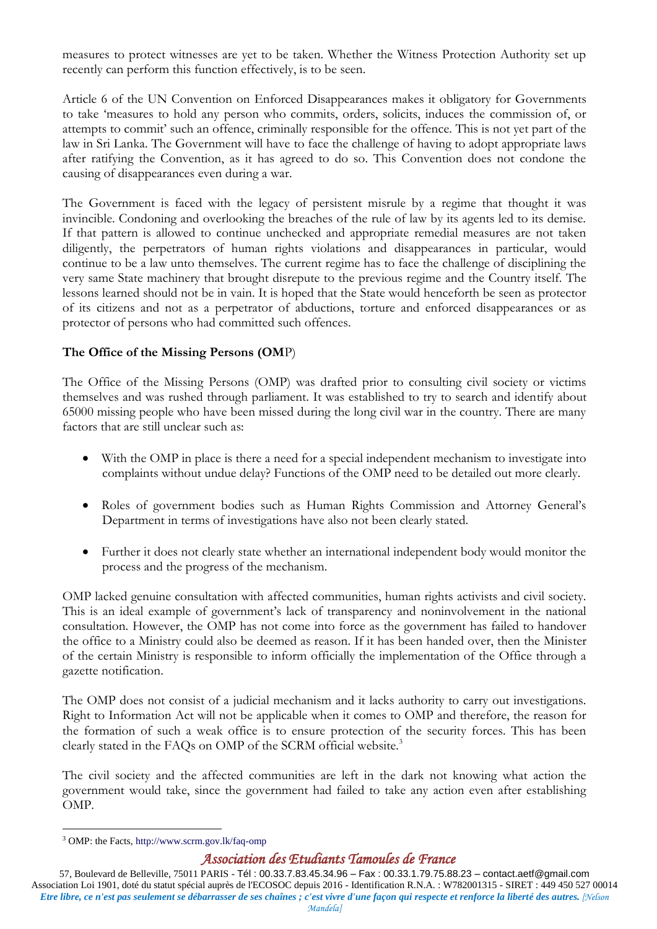measures to protect witnesses are yet to be taken. Whether the Witness Protection Authority set up recently can perform this function effectively, is to be seen.

Article 6 of the UN Convention on Enforced Disappearances makes it obligatory for Governments to take 'measures to hold any person who commits, orders, solicits, induces the commission of, or attempts to commit' such an offence, criminally responsible for the offence. This is not yet part of the law in Sri Lanka. The Government will have to face the challenge of having to adopt appropriate laws after ratifying the Convention, as it has agreed to do so. This Convention does not condone the causing of disappearances even during a war.

The Government is faced with the legacy of persistent misrule by a regime that thought it was invincible. Condoning and overlooking the breaches of the rule of law by its agents led to its demise. If that pattern is allowed to continue unchecked and appropriate remedial measures are not taken diligently, the perpetrators of human rights violations and disappearances in particular, would continue to be a law unto themselves. The current regime has to face the challenge of disciplining the very same State machinery that brought disrepute to the previous regime and the Country itself. The lessons learned should not be in vain. It is hoped that the State would henceforth be seen as protector of its citizens and not as a perpetrator of abductions, torture and enforced disappearances or as protector of persons who had committed such offences.

# **The Office of the Missing Persons (OM**P)

The Office of the Missing Persons (OMP) was drafted prior to consulting civil society or victims themselves and was rushed through parliament. It was established to try to search and identify about 65000 missing people who have been missed during the long civil war in the country. There are many factors that are still unclear such as:

- With the OMP in place is there a need for a special independent mechanism to investigate into complaints without undue delay? Functions of the OMP need to be detailed out more clearly.
- Roles of government bodies such as Human Rights Commission and Attorney General's Department in terms of investigations have also not been clearly stated.
- Further it does not clearly state whether an international independent body would monitor the process and the progress of the mechanism.

OMP lacked genuine consultation with affected communities, human rights activists and civil society. This is an ideal example of government's lack of transparency and noninvolvement in the national consultation. However, the OMP has not come into force as the government has failed to handover the office to a Ministry could also be deemed as reason. If it has been handed over, then the Minister of the certain Ministry is responsible to inform officially the implementation of the Office through a gazette notification.

The OMP does not consist of a judicial mechanism and it lacks authority to carry out investigations. Right to Information Act will not be applicable when it comes to OMP and therefore, the reason for the formation of such a weak office is to ensure protection of the security forces. This has been clearly stated in the FAQs on OMP of the SCRM official website.<sup>3</sup>

The civil society and the affected communities are left in the dark not knowing what action the government would take, since the government had failed to take any action even after establishing OMP.

1

#### *Association des Etudiants Tamoules de France*

<sup>3</sup> OMP: the Facts,<http://www.scrm.gov.lk/faq-omp>

<sup>57,</sup> Boulevard de Belleville, 75011 PARIS - Tél : 00.33.7.83.45.34.96 – Fax : 00.33.1.79.75.88.23 – contact.aetf@gmail.com Association Loi 1901, doté du statut spécial auprès de l'ECOSOC depuis 2016 - Identification R.N.A. : W782001315 - SIRET : 449 450 527 00014 *Etre libre, ce n'est pas seulement se débarrasser de ses chaînes ; c'est vivre d'une façon qui respecte et renforce la liberté des autres. [Nelson Mandela]*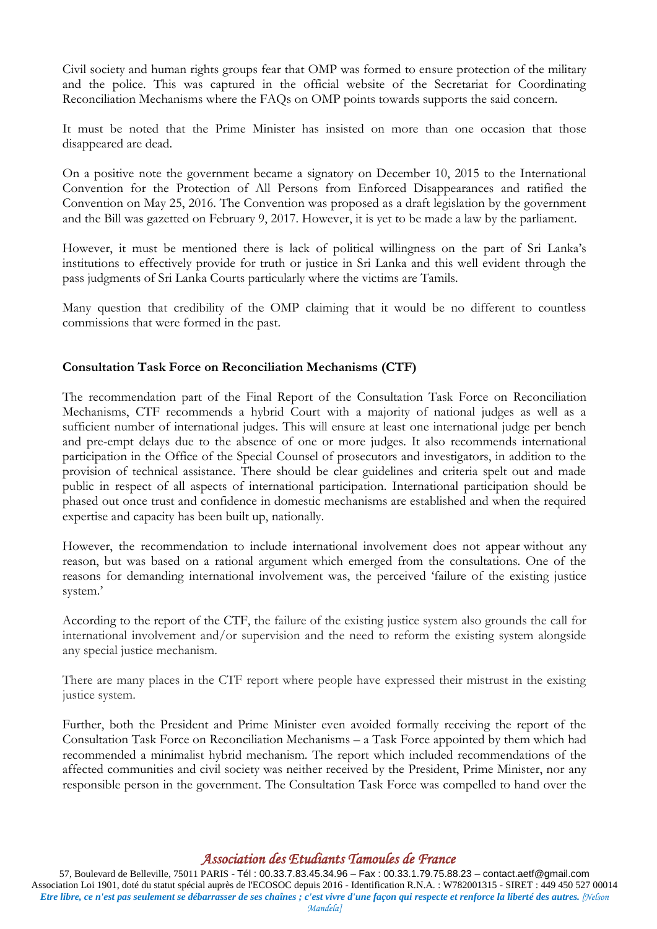Civil society and human rights groups fear that OMP was formed to ensure protection of the military and the police. This was captured in the official website of the Secretariat for Coordinating Reconciliation Mechanisms where the FAQs on OMP points towards supports the said concern.

It must be noted that the Prime Minister has insisted on more than one occasion that those disappeared are dead.

On a positive note the government became a signatory on December 10, 2015 to the International Convention for the Protection of All Persons from Enforced Disappearances and ratified the Convention on May 25, 2016. The Convention was proposed as a draft legislation by the government and the Bill was gazetted on February 9, 2017. However, it is yet to be made a law by the parliament.

However, it must be mentioned there is lack of political willingness on the part of Sri Lanka's institutions to effectively provide for truth or justice in Sri Lanka and this well evident through the pass judgments of Sri Lanka Courts particularly where the victims are Tamils.

Many question that credibility of the OMP claiming that it would be no different to countless commissions that were formed in the past.

### **Consultation Task Force on Reconciliation Mechanisms (CTF)**

The recommendation part of the Final Report of the Consultation Task Force on Reconciliation Mechanisms, CTF recommends a hybrid Court with a majority of national judges as well as a sufficient number of international judges. This will ensure at least one international judge per bench and pre-empt delays due to the absence of one or more judges. It also recommends international participation in the Office of the Special Counsel of prosecutors and investigators, in addition to the provision of technical assistance. There should be clear guidelines and criteria spelt out and made public in respect of all aspects of international participation. International participation should be phased out once trust and confidence in domestic mechanisms are established and when the required expertise and capacity has been built up, nationally.

However, the recommendation to include international involvement does not appear without any reason, but was based on a rational argument which emerged from the consultations. One of the reasons for demanding international involvement was, the perceived 'failure of the existing justice system.'

According to the report of the CTF, the failure of the existing justice system also grounds the call for international involvement and/or supervision and the need to reform the existing system alongside any special justice mechanism.

There are many places in the CTF report where people have expressed their mistrust in the existing justice system.

Further, both the President and Prime Minister even avoided formally receiving the report of the Consultation Task Force on Reconciliation Mechanisms – a Task Force appointed by them which had recommended a minimalist hybrid mechanism. The report which included recommendations of the affected communities and civil society was neither received by the President, Prime Minister, nor any responsible person in the government. The Consultation Task Force was compelled to hand over the

# *Association des Etudiants Tamoules de France*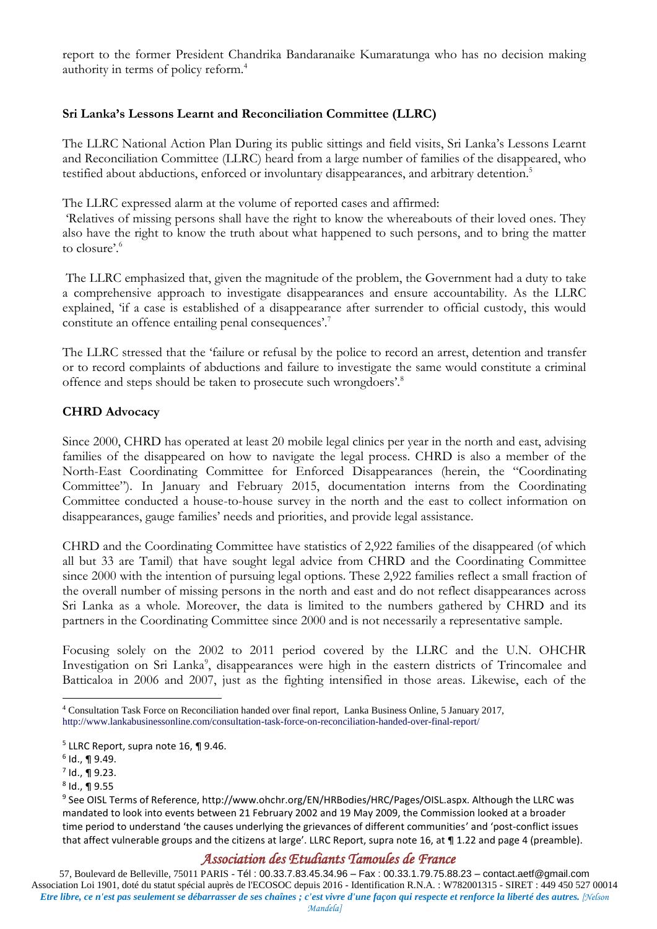report to the former President Chandrika Bandaranaike Kumaratunga who has no decision making authority in terms of policy reform.<sup>4</sup>

### **Sri Lanka's Lessons Learnt and Reconciliation Committee (LLRC)**

The LLRC National Action Plan During its public sittings and field visits, Sri Lanka's Lessons Learnt and Reconciliation Committee (LLRC) heard from a large number of families of the disappeared, who testified about abductions, enforced or involuntary disappearances, and arbitrary detention.<sup>5</sup>

The LLRC expressed alarm at the volume of reported cases and affirmed:

'Relatives of missing persons shall have the right to know the whereabouts of their loved ones. They also have the right to know the truth about what happened to such persons, and to bring the matter to closure'.<sup>6</sup>

The LLRC emphasized that, given the magnitude of the problem, the Government had a duty to take a comprehensive approach to investigate disappearances and ensure accountability. As the LLRC explained, 'if a case is established of a disappearance after surrender to official custody, this would constitute an offence entailing penal consequences'.<sup>7</sup>

The LLRC stressed that the 'failure or refusal by the police to record an arrest, detention and transfer or to record complaints of abductions and failure to investigate the same would constitute a criminal offence and steps should be taken to prosecute such wrongdoers'.<sup>8</sup>

#### **CHRD Advocacy**

Since 2000, CHRD has operated at least 20 mobile legal clinics per year in the north and east, advising families of the disappeared on how to navigate the legal process. CHRD is also a member of the North-East Coordinating Committee for Enforced Disappearances (herein, the "Coordinating Committee"). In January and February 2015, documentation interns from the Coordinating Committee conducted a house-to-house survey in the north and the east to collect information on disappearances, gauge families' needs and priorities, and provide legal assistance.

CHRD and the Coordinating Committee have statistics of 2,922 families of the disappeared (of which all but 33 are Tamil) that have sought legal advice from CHRD and the Coordinating Committee since 2000 with the intention of pursuing legal options. These 2,922 families reflect a small fraction of the overall number of missing persons in the north and east and do not reflect disappearances across Sri Lanka as a whole. Moreover, the data is limited to the numbers gathered by CHRD and its partners in the Coordinating Committee since 2000 and is not necessarily a representative sample.

Focusing solely on the 2002 to 2011 period covered by the LLRC and the U.N. OHCHR Investigation on Sri Lanka<sup>9</sup>, disappearances were high in the eastern districts of Trincomalee and Batticaloa in 2006 and 2007, just as the fighting intensified in those areas. Likewise, each of the

1

#### *Association des Etudiants Tamoules de France*

<sup>4</sup> Consultation Task Force on Reconciliation handed over final report, Lanka Business Online, 5 January 2017, <http://www.lankabusinessonline.com/consultation-task-force-on-reconciliation-handed-over-final-report/>

<sup>5</sup> LLRC Report, supra note 16, ¶ 9.46.

<sup>6</sup> Id., ¶ 9.49.

 $^7$  Id., ¶ 9.23.

 $^8$  Id., ¶ 9.55

<sup>9</sup> See OISL Terms of Reference, http://www.ohchr.org/EN/HRBodies/HRC/Pages/OISL.aspx. Although the LLRC was mandated to look into events between 21 February 2002 and 19 May 2009, the Commission looked at a broader time period to understand 'the causes underlying the grievances of different communities' and 'post-conflict issues that affect vulnerable groups and the citizens at large'. LLRC Report, supra note 16, at  $\P$  1.22 and page 4 (preamble).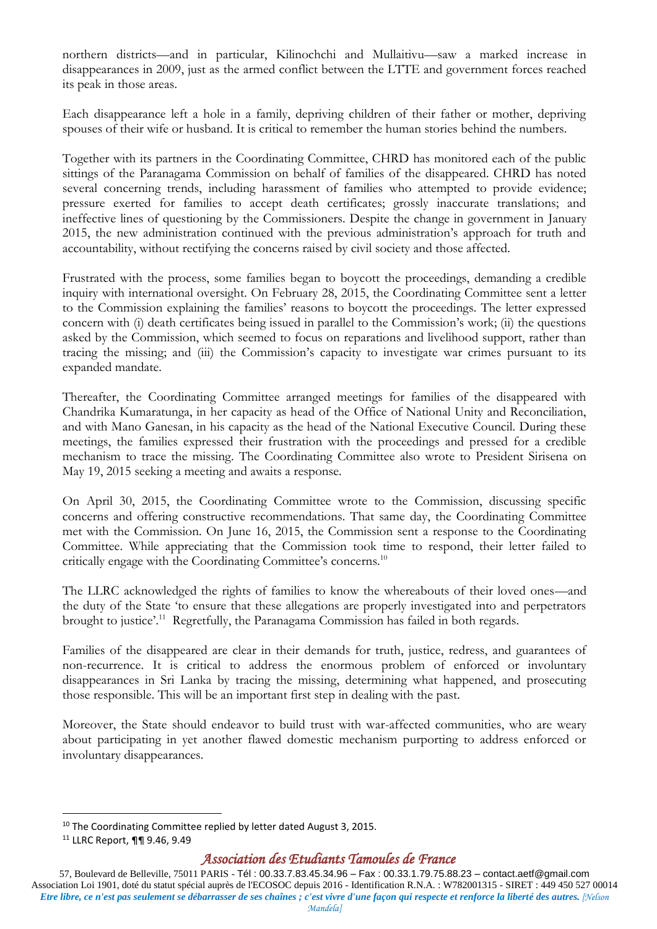northern districts—and in particular, Kilinochchi and Mullaitivu—saw a marked increase in disappearances in 2009, just as the armed conflict between the LTTE and government forces reached its peak in those areas.

Each disappearance left a hole in a family, depriving children of their father or mother, depriving spouses of their wife or husband. It is critical to remember the human stories behind the numbers.

Together with its partners in the Coordinating Committee, CHRD has monitored each of the public sittings of the Paranagama Commission on behalf of families of the disappeared. CHRD has noted several concerning trends, including harassment of families who attempted to provide evidence; pressure exerted for families to accept death certificates; grossly inaccurate translations; and ineffective lines of questioning by the Commissioners. Despite the change in government in January 2015, the new administration continued with the previous administration's approach for truth and accountability, without rectifying the concerns raised by civil society and those affected.

Frustrated with the process, some families began to boycott the proceedings, demanding a credible inquiry with international oversight. On February 28, 2015, the Coordinating Committee sent a letter to the Commission explaining the families' reasons to boycott the proceedings. The letter expressed concern with (i) death certificates being issued in parallel to the Commission's work; (ii) the questions asked by the Commission, which seemed to focus on reparations and livelihood support, rather than tracing the missing; and (iii) the Commission's capacity to investigate war crimes pursuant to its expanded mandate.

Thereafter, the Coordinating Committee arranged meetings for families of the disappeared with Chandrika Kumaratunga, in her capacity as head of the Office of National Unity and Reconciliation, and with Mano Ganesan, in his capacity as the head of the National Executive Council. During these meetings, the families expressed their frustration with the proceedings and pressed for a credible mechanism to trace the missing. The Coordinating Committee also wrote to President Sirisena on May 19, 2015 seeking a meeting and awaits a response.

On April 30, 2015, the Coordinating Committee wrote to the Commission, discussing specific concerns and offering constructive recommendations. That same day, the Coordinating Committee met with the Commission. On June 16, 2015, the Commission sent a response to the Coordinating Committee. While appreciating that the Commission took time to respond, their letter failed to critically engage with the Coordinating Committee's concerns.<sup>10</sup>

The LLRC acknowledged the rights of families to know the whereabouts of their loved ones—and the duty of the State 'to ensure that these allegations are properly investigated into and perpetrators brought to justice'.<sup>11</sup> Regretfully, the Paranagama Commission has failed in both regards.

Families of the disappeared are clear in their demands for truth, justice, redress, and guarantees of non-recurrence. It is critical to address the enormous problem of enforced or involuntary disappearances in Sri Lanka by tracing the missing, determining what happened, and prosecuting those responsible. This will be an important first step in dealing with the past.

Moreover, the State should endeavor to build trust with war-affected communities, who are weary about participating in yet another flawed domestic mechanism purporting to address enforced or involuntary disappearances.

1

<sup>&</sup>lt;sup>10</sup> The Coordinating Committee replied by letter dated August 3, 2015.

<sup>11</sup> LLRC Report, ¶¶ 9.46, 9.49

*Association des Etudiants Tamoules de France*

<sup>57,</sup> Boulevard de Belleville, 75011 PARIS - Tél : 00.33.7.83.45.34.96 – Fax : 00.33.1.79.75.88.23 – contact.aetf@gmail.com Association Loi 1901, doté du statut spécial auprès de l'ECOSOC depuis 2016 - Identification R.N.A. : W782001315 - SIRET : 449 450 527 00014 *Etre libre, ce n'est pas seulement se débarrasser de ses chaînes ; c'est vivre d'une façon qui respecte et renforce la liberté des autres. [Nelson Mandela]*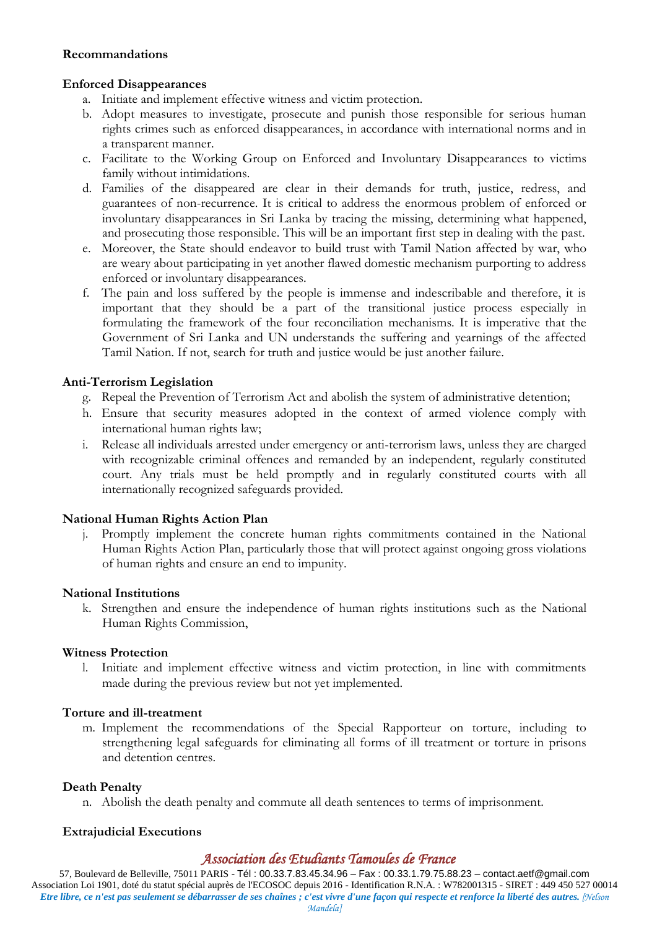#### **Recommandations**

#### **Enforced Disappearances**

- a. Initiate and implement effective witness and victim protection.
- b. Adopt measures to investigate, prosecute and punish those responsible for serious human rights crimes such as enforced disappearances, in accordance with international norms and in a transparent manner.
- c. Facilitate to the Working Group on Enforced and Involuntary Disappearances to victims family without intimidations.
- d. Families of the disappeared are clear in their demands for truth, justice, redress, and guarantees of non-recurrence. It is critical to address the enormous problem of enforced or involuntary disappearances in Sri Lanka by tracing the missing, determining what happened, and prosecuting those responsible. This will be an important first step in dealing with the past.
- e. Moreover, the State should endeavor to build trust with Tamil Nation affected by war, who are weary about participating in yet another flawed domestic mechanism purporting to address enforced or involuntary disappearances.
- f. The pain and loss suffered by the people is immense and indescribable and therefore, it is important that they should be a part of the transitional justice process especially in formulating the framework of the four reconciliation mechanisms. It is imperative that the Government of Sri Lanka and UN understands the suffering and yearnings of the affected Tamil Nation. If not, search for truth and justice would be just another failure.

#### **Anti-Terrorism Legislation**

- g. Repeal the Prevention of Terrorism Act and abolish the system of administrative detention;
- h. Ensure that security measures adopted in the context of armed violence comply with international human rights law;
- i. Release all individuals arrested under emergency or anti-terrorism laws, unless they are charged with recognizable criminal offences and remanded by an independent, regularly constituted court. Any trials must be held promptly and in regularly constituted courts with all internationally recognized safeguards provided.

#### **National Human Rights Action Plan**

j. Promptly implement the concrete human rights commitments contained in the National Human Rights Action Plan, particularly those that will protect against ongoing gross violations of human rights and ensure an end to impunity.

#### **National Institutions**

k. Strengthen and ensure the independence of human rights institutions such as the National Human Rights Commission,

#### **Witness Protection**

l. Initiate and implement effective witness and victim protection, in line with commitments made during the previous review but not yet implemented.

#### **Torture and ill-treatment**

m. Implement the recommendations of the Special Rapporteur on torture, including to strengthening legal safeguards for eliminating all forms of ill treatment or torture in prisons and detention centres.

#### **Death Penalty**

n. Abolish the death penalty and commute all death sentences to terms of imprisonment.

#### **Extrajudicial Executions**

#### *Association des Etudiants Tamoules de France*